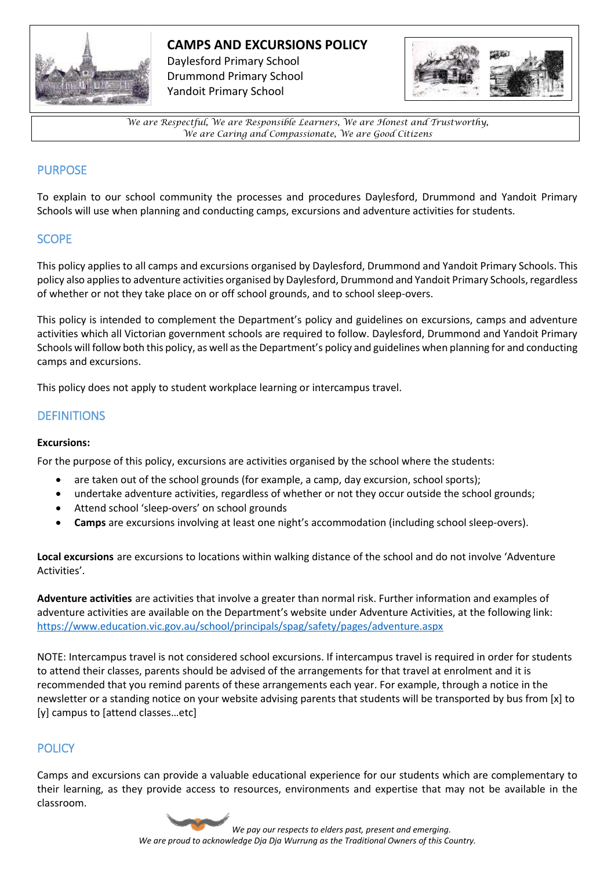

## **CAMPS AND EXCURSIONS POLICY**

Daylesford Primary School Drummond Primary School Yandoit Primary School



*We are Respectful, We are Responsible Learners, We are Honest and Trustworthy, We are Caring and Compassionate, We are Good Citizens*

# PURPOSE

To explain to our school community the processes and procedures Daylesford, Drummond and Yandoit Primary Schools will use when planning and conducting camps, excursions and adventure activities for students.

## **SCOPE**

This policy applies to all camps and excursions organised by Daylesford, Drummond and Yandoit Primary Schools. This policy also applies to adventure activities organised by Daylesford, Drummond and Yandoit Primary Schools, regardless of whether or not they take place on or off school grounds, and to school sleep-overs.

This policy is intended to complement the Department's policy and guidelines on excursions, camps and adventure activities which all Victorian government schools are required to follow. Daylesford, Drummond and Yandoit Primary Schools will follow both this policy, as well as the Department's policy and guidelines when planning for and conducting camps and excursions.

This policy does not apply to student workplace learning or intercampus travel.

## **DEFINITIONS**

#### **Excursions:**

For the purpose of this policy, excursions are activities organised by the school where the students:

- are taken out of the school grounds (for example, a camp, day excursion, school sports);
- undertake adventure activities, regardless of whether or not they occur outside the school grounds;
- Attend school 'sleep-overs' on school grounds
- **Camps** are excursions involving at least one night's accommodation (including school sleep-overs).

**Local excursions** are excursions to locations within walking distance of the school and do not involve 'Adventure Activities'.

**Adventure activities** are activities that involve a greater than normal risk. Further information and examples of adventure activities are available on the Department's website under Adventure Activities, at the following link: <https://www.education.vic.gov.au/school/principals/spag/safety/pages/adventure.aspx>

NOTE: Intercampus travel is not considered school excursions. If intercampus travel is required in order for students to attend their classes, parents should be advised of the arrangements for that travel at enrolment and it is recommended that you remind parents of these arrangements each year. For example, through a notice in the newsletter or a standing notice on your website advising parents that students will be transported by bus from [x] to [y] campus to [attend classes…etc]

# **POLICY**

Camps and excursions can provide a valuable educational experience for our students which are complementary to their learning, as they provide access to resources, environments and expertise that may not be available in the classroom.

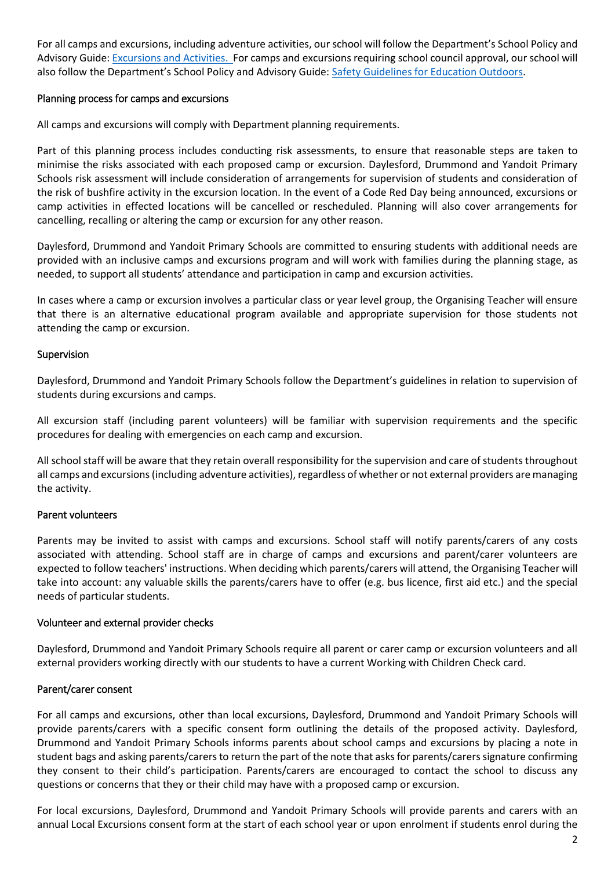For all camps and excursions, including adventure activities, our school will follow the Department's School Policy and Advisory Guide[: Excursions and Activities.](http://www.education.vic.gov.au/school/principals/spag/safety/pages/excursions.aspx) For camps and excursions requiring school council approval, our school will also follow the Department's School Policy and Advisory Guide: Safety [Guidelines for Education Outdoors.](https://www.education.vic.gov.au/school/teachers/studentmanagement/excursions/Pages/outdoorguidelines.aspx)

### Planning process for camps and excursions

All camps and excursions will comply with Department planning requirements.

Part of this planning process includes conducting risk assessments, to ensure that reasonable steps are taken to minimise the risks associated with each proposed camp or excursion. Daylesford, Drummond and Yandoit Primary Schools risk assessment will include consideration of arrangements for supervision of students and consideration of the risk of bushfire activity in the excursion location. In the event of a Code Red Day being announced, excursions or camp activities in effected locations will be cancelled or rescheduled. Planning will also cover arrangements for cancelling, recalling or altering the camp or excursion for any other reason.

Daylesford, Drummond and Yandoit Primary Schools are committed to ensuring students with additional needs are provided with an inclusive camps and excursions program and will work with families during the planning stage, as needed, to support all students' attendance and participation in camp and excursion activities.

In cases where a camp or excursion involves a particular class or year level group, the Organising Teacher will ensure that there is an alternative educational program available and appropriate supervision for those students not attending the camp or excursion.

### Supervision

Daylesford, Drummond and Yandoit Primary Schools follow the Department's guidelines in relation to supervision of students during excursions and camps.

All excursion staff (including parent volunteers) will be familiar with supervision requirements and the specific procedures for dealing with emergencies on each camp and excursion.

All school staff will be aware that they retain overall responsibility for the supervision and care of students throughout all camps and excursions (including adventure activities), regardless of whether or not external providers are managing the activity.

#### Parent volunteers

Parents may be invited to assist with camps and excursions. School staff will notify parents/carers of any costs associated with attending. School staff are in charge of camps and excursions and parent/carer volunteers are expected to follow teachers' instructions. When deciding which parents/carers will attend, the Organising Teacher will take into account: any valuable skills the parents/carers have to offer (e.g. bus licence, first aid etc.) and the special needs of particular students.

#### Volunteer and external provider checks

Daylesford, Drummond and Yandoit Primary Schools require all parent or carer camp or excursion volunteers and all external providers working directly with our students to have a current Working with Children Check card.

#### Parent/carer consent

For all camps and excursions, other than local excursions, Daylesford, Drummond and Yandoit Primary Schools will provide parents/carers with a specific consent form outlining the details of the proposed activity. Daylesford, Drummond and Yandoit Primary Schools informs parents about school camps and excursions by placing a note in student bags and asking parents/carers to return the part of the note that asks for parents/carers signature confirming they consent to their child's participation. Parents/carers are encouraged to contact the school to discuss any questions or concerns that they or their child may have with a proposed camp or excursion.

For local excursions, Daylesford, Drummond and Yandoit Primary Schools will provide parents and carers with an annual Local Excursions consent form at the start of each school year or upon enrolment if students enrol during the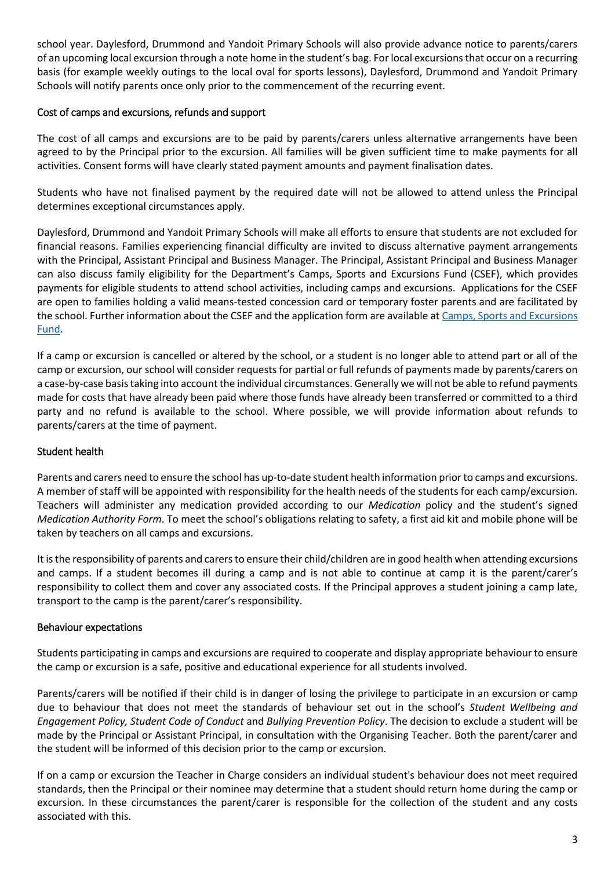school year. Daylesford, Drummond and Yandoit Primary Schools will also provide advance notice to parents/carers of an upcoming local excursion through a note home in the student's bag. For local excursions that occur on a recurring basis (for example weekly outings to the local oval for sports lessons), Daylesford, Drummond and Yandoit Primary Schools will notify parents once only prior to the commencement of the recurring event.

## Cost of camps and excursions, refunds and support

The cost of all camps and excursions are to be paid by parents/carers unless alternative arrangements have been agreed to by the Principal prior to the excursion. All families will be given sufficient time to make payments for all activities. Consent forms will have clearly stated payment amounts and payment finalisation dates.

Students who have not finalised payment by the required date will not be allowed to attend unless the Principal determines exceptional circumstances apply.

Daylesford, Drummond and Yandoit Primary Schools will make all efforts to ensure that students are not excluded for financial reasons. Families experiencing financial difficulty are invited to discuss alternative payment arrangements with the Principal, Assistant Principal and Business Manager. The Principal, Assistant Principal and Business Manager can also discuss family eligibility for the Department's Camps, Sports and Excursions Fund (CSEF), which provides payments for eligible students to attend school activities, including camps and excursions. Applications for the CSEF are open to families holding a valid means-tested concession card or temporary foster parents and are facilitated by the school. Further information about the CSEF and the application form are available at Camps, Sports and Excursions [Fund.](http://www.education.vic.gov.au/about/programs/Pages/csef.aspx)

If a camp or excursion is cancelled or altered by the school, or a student is no longer able to attend part or all of the camp or excursion, our school will consider requests for partial or full refunds of payments made by parents/carers on a case-by-case basis taking into account the individual circumstances. Generally we will not be able to refund payments made for costs that have already been paid where those funds have already been transferred or committed to a third party and no refund is available to the school. Where possible, we will provide information about refunds to parents/carers at the time of payment.

## Student health

Parents and carers need to ensure the school has up-to-date student health information prior to camps and excursions. A member of staff will be appointed with responsibility for the health needs of the students for each camp/excursion. Teachers will administer any medication provided according to our *Medication* policy and the student's signed *Medication Authority Form*. To meet the school's obligations relating to safety, a first aid kit and mobile phone will be taken by teachers on all camps and excursions.

It is the responsibility of parents and carers to ensure their child/children are in good health when attending excursions and camps. If a student becomes ill during a camp and is not able to continue at camp it is the parent/carer's responsibility to collect them and cover any associated costs. If the Principal approves a student joining a camp late, transport to the camp is the parent/carer's responsibility.

## Behaviour expectations

Students participating in camps and excursions are required to cooperate and display appropriate behaviour to ensure the camp or excursion is a safe, positive and educational experience for all students involved.

Parents/carers will be notified if their child is in danger of losing the privilege to participate in an excursion or camp due to behaviour that does not meet the standards of behaviour set out in the school's *Student Wellbeing and Engagement Policy, Student Code of Conduct* and *Bullying Prevention Policy*. The decision to exclude a student will be made by the Principal or Assistant Principal, in consultation with the Organising Teacher. Both the parent/carer and the student will be informed of this decision prior to the camp or excursion.

If on a camp or excursion the Teacher in Charge considers an individual student's behaviour does not meet required standards, then the Principal or their nominee may determine that a student should return home during the camp or excursion. In these circumstances the parent/carer is responsible for the collection of the student and any costs associated with this.